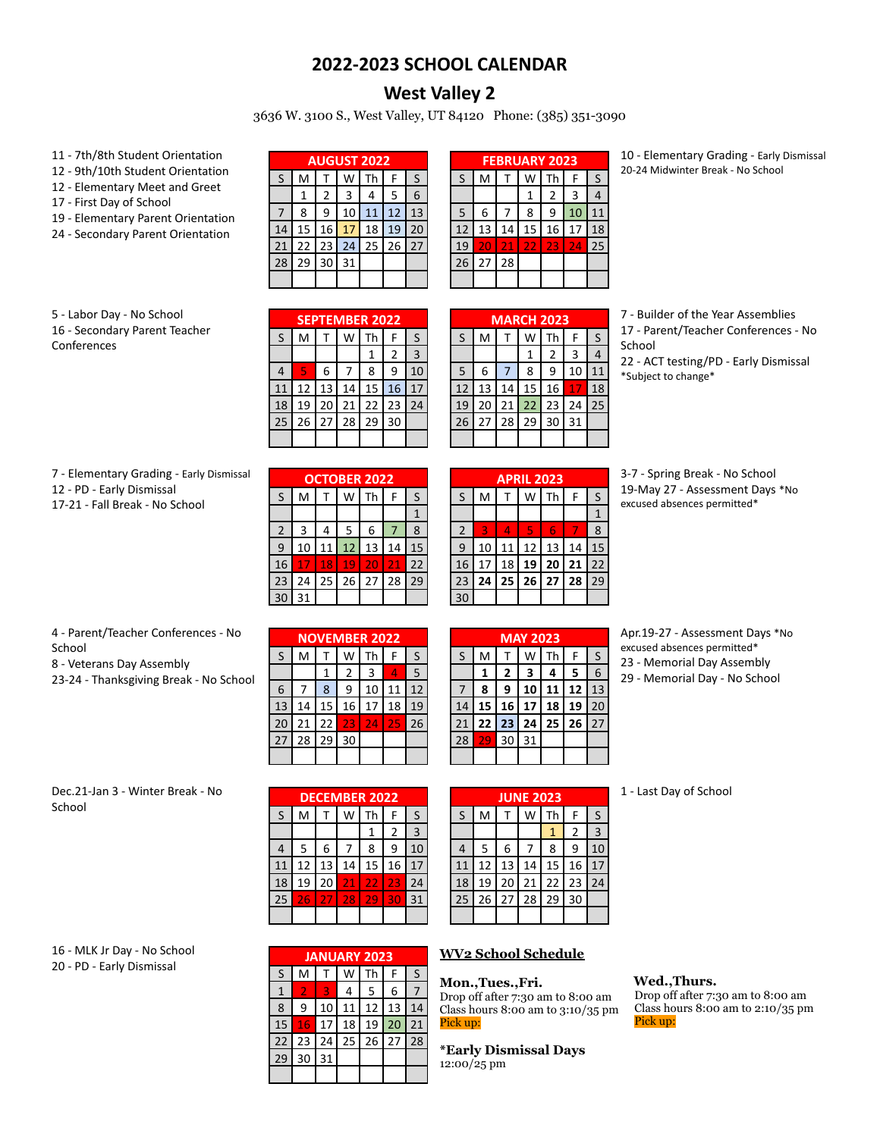## **2022-2023 SCHOOL CALENDAR**

# **West Valley 2**

3636 W. 3100 S., West Valley, UT 84120 Phone: (385) 351-3090

- 11 7th/8th Student Orientation
- 12 9th/10th Student Orientation
- 12 Elementary Meet and Greet
- 17 First Day of School
- 19 Elementary Parent Orientation
- 24 Secondary Parent Orientation

| <b>AUGUST 2022</b> |    |    |    |    |    |    |  |  |
|--------------------|----|----|----|----|----|----|--|--|
| ς                  | M  |    |    | Th | F  | S  |  |  |
|                    |    | 2  |    |    | 5  | 6  |  |  |
|                    | 8  | q  | 10 | 11 | 12 | 13 |  |  |
| 14                 | 15 | 16 | 17 | 18 | 19 | 20 |  |  |
| 21                 | 22 | 23 | 24 | 25 | 26 | 27 |  |  |
| 28                 | 29 | 30 | 31 |    |    |    |  |  |
|                    |    |    |    |    |    |    |  |  |

|              | <b>FEBRUARY 2023</b> |    |    |    |    |              |  |  |  |
|--------------|----------------------|----|----|----|----|--------------|--|--|--|
| $\mathsf{S}$ | M                    |    | W  | Th | F  | $\mathsf{S}$ |  |  |  |
|              |                      |    | 1  | 2  | 3  | 4            |  |  |  |
| 5            | 6                    |    | 8  | 9  | 10 | 11           |  |  |  |
| 12           | 13                   | 14 | 15 | 16 | 17 | 18           |  |  |  |
| 19           | 20                   | 21 | 22 | 23 | 24 | 25           |  |  |  |
| 26           | 27                   | 28 |    |    |    |              |  |  |  |
|              |                      |    |    |    |    |              |  |  |  |

10 - Elementary Grading - Early Dismissal 20-24 Midwinter Break - No School

| 5 - Labor Day - No School     |
|-------------------------------|
| 16 - Secondary Parent Teacher |
| Conferences                   |

|         |    |    |    | <b>SEPTEMBER 2022</b> |    |    |
|---------|----|----|----|-----------------------|----|----|
| $\sf S$ | M  |    | W  | Th                    | F  | S  |
|         |    |    |    | 1                     | 2  | 3  |
| 4       | 5  | 6  |    | 8                     | 9  | 10 |
| 11      | 12 | 13 | 14 | 15                    | 16 | 17 |
| 18      | 19 | 20 | 21 | 22                    | 23 | 24 |
| 25      | 26 | 27 | 28 | 29                    | 30 |    |
|         |    |    |    |                       |    |    |

| <b>MARCH 2023</b> |    |    |    |    |    |    |  |  |  |  |
|-------------------|----|----|----|----|----|----|--|--|--|--|
| S                 | M  |    | W  | Th | F  | S  |  |  |  |  |
|                   |    |    |    | 2  | 3  | 4  |  |  |  |  |
| 5                 | 6  | 7  | 8  | ٩  | 10 |    |  |  |  |  |
| 12                | 13 | 14 | 15 | 16 | 17 | 18 |  |  |  |  |
| 19                | 20 | 21 | 22 | 23 | 24 | 25 |  |  |  |  |
| 26                | 27 | 28 | 29 | 30 | 31 |    |  |  |  |  |
|                   |    |    |    |    |    |    |  |  |  |  |

7 - Builder of the Year Assemblies

17 - Parent/Teacher Conferences - No School

22 - ACT testing/PD - Early Dismissal \*Subject to change\*

| 7 - Elementary Grading - Early Dismissal |  |
|------------------------------------------|--|
| 12 - PD - Early Dismissal                |  |

17-21 - Fall Break - No School

|    | <b>OCTOBER 2022</b> |    |    |    |    |    |  |  |  |  |
|----|---------------------|----|----|----|----|----|--|--|--|--|
| S  | M                   |    | w  | Th | F  | S  |  |  |  |  |
|    |                     |    |    |    |    |    |  |  |  |  |
| 2  | 3                   | 4  | 5  | 6  |    | 8  |  |  |  |  |
| 9  | 10                  | 11 | 12 | 13 | 14 | 15 |  |  |  |  |
| 16 | 17                  | 18 | 19 | 20 | 21 | 22 |  |  |  |  |
| 23 | 24                  | 25 | 26 | 27 | 28 | 29 |  |  |  |  |
|    | 31                  |    |    |    |    |    |  |  |  |  |

| <b>APRIL 2023</b> |    |    |    |    |    |    |  |  |
|-------------------|----|----|----|----|----|----|--|--|
| S                 | M  |    | W  | Th | F  | S  |  |  |
|                   |    |    |    |    |    | 1  |  |  |
| $\overline{2}$    | 3  | л  | 5  | 6  | 7  | 8  |  |  |
| 9                 | 10 | 11 | 12 | 13 | 14 | 15 |  |  |
| 16                | 17 | 18 | 19 | 20 | 21 | 22 |  |  |
| 23                | 24 | 25 | 26 | 27 | 28 | 29 |  |  |
|                   |    |    |    |    |    |    |  |  |

3-7 - Spring Break - No School 19-May 27 - Assessment Days \*No excused absences permitted\*

| 4 - Parent/Teacher Conferences - No |
|-------------------------------------|
| School                              |

8 - Veterans Day Assembly

23-24 - Thanksgiving Break - No School

| <b>NOVEMBER 2022</b> |    |    |    |                 |    |    |  |  |  |
|----------------------|----|----|----|-----------------|----|----|--|--|--|
| S                    | M  |    | W  | Th              | F  | S  |  |  |  |
|                      |    |    | 2  | 3               | Δ  | 5  |  |  |  |
| 6                    |    | 8  | 9  | 10              | 11 | 12 |  |  |  |
| 13                   | 14 | 15 | 16 | 17              | 18 | 19 |  |  |  |
| 20                   | 21 | 22 | 23 | $2\overline{4}$ | 25 | 26 |  |  |  |
| 27                   | 28 | 29 | 30 |                 |    |    |  |  |  |
|                      |    |    |    |                 |    |    |  |  |  |

| <b>MAY 2023</b> |    |    |    |    |    |    |  |  |  |  |
|-----------------|----|----|----|----|----|----|--|--|--|--|
| S               | M  |    | W  | Th | F  | S  |  |  |  |  |
|                 | 1  | 2  | 3  | 4  | 5  | 6  |  |  |  |  |
| 7               | 8  | 9  | 10 | 11 | 12 | 13 |  |  |  |  |
| 14              | 15 | 16 | 17 | 18 | 19 | 20 |  |  |  |  |
| 21              | 22 | 23 | 24 | 25 | 26 | 27 |  |  |  |  |
| 28              | 29 | 30 | 31 |    |    |    |  |  |  |  |
|                 |    |    |    |    |    |    |  |  |  |  |

Apr.19-27 - Assessment Days \*No excused absences permitted\* 23 - Memorial Day Assembly

29 - Memorial Day - No School

#### Dec.21-Jan 3 - Winter Break - No School

| <b>DECEMBER 2022</b> |    |    |    |    |    |    |  |  |  |
|----------------------|----|----|----|----|----|----|--|--|--|
| S                    | M  |    | W  | Th | F  | S  |  |  |  |
|                      |    |    |    |    | 2  | ₹  |  |  |  |
| 4                    | 5  | 6  |    | 8  | q  | 10 |  |  |  |
| 11                   | 12 | 13 | 14 | 15 | 16 | 17 |  |  |  |
| 18                   | 19 | 20 | 21 | 22 | 23 | 24 |  |  |  |
| 25                   | 26 | 27 | 28 | 29 | 30 | 31 |  |  |  |
|                      |    |    |    |    |    |    |  |  |  |

| <b>JUNE 2023</b> |    |    |    |    |    |              |
|------------------|----|----|----|----|----|--------------|
| $\sf S$          | M  |    | W  | Th | F  | $\mathsf{S}$ |
|                  |    |    |    |    | 2  | 3            |
| 4                | 5  | 6  |    | 8  | ٩  | 10           |
| 11               | 12 | 13 | 14 | 15 | 16 | 17           |
| 18               | 19 | 20 | 21 | 22 | 23 | 24           |
| 25               | 26 | 27 | 28 | 29 | 30 |              |
|                  |    |    |    |    |    |              |

1 - Last Day of School

16 - MLK Jr Day - No School 20 - PD - Early Dismissal

|    |    |    | <b>JANUARY 2023</b> |                      |    |    |
|----|----|----|---------------------|----------------------|----|----|
| S  | M  |    | w                   | Th                   | F  | S  |
|    | 2  | 3  | 4                   | 5                    | 6  |    |
| 8  | 9  | 10 | 11                  | 12                   | 13 | 14 |
| 15 | 16 | 17 | 18                  | 19                   | 20 | 21 |
| 22 | 23 | 24 |                     | $25 \mid 26 \mid 27$ |    | 28 |
| 29 | 30 | 31 |                     |                      |    |    |
|    |    |    |                     |                      |    |    |

### **WV2 School Schedule**

**Mon.,Tues.,Fri.** Drop off after 7:30 am to 8:00 am Class hours 8:00 am to 3:10/35 pm Pick up:

**\*Early Dismissal Days** 12:00/25 pm

#### **Wed.,Thurs.**

Drop off after 7:30 am to 8:00 am Class hours 8:00 am to 2:10/35 pm Pick up: